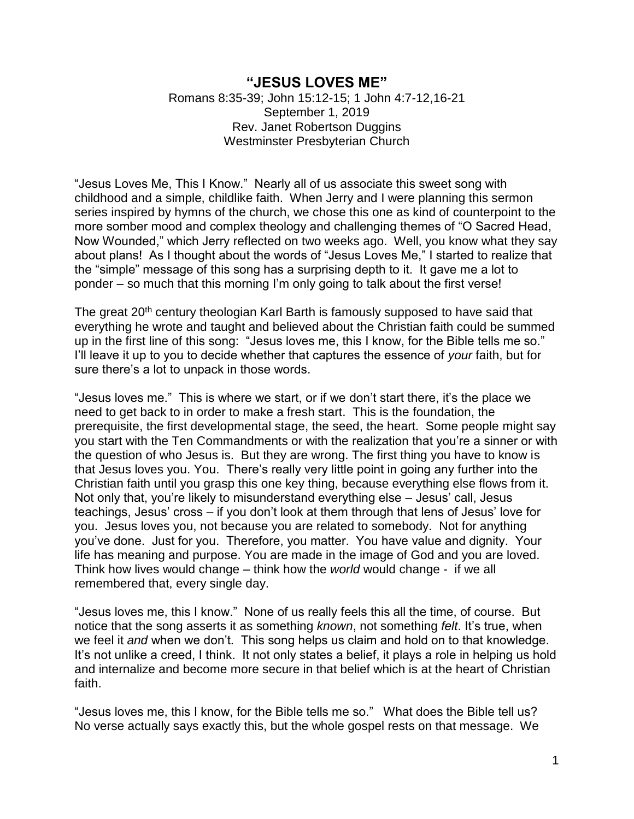## **"JESUS LOVES ME"**

Romans 8:35-39; John 15:12-15; 1 John 4:7-12,16-21 September 1, 2019 Rev. Janet Robertson Duggins Westminster Presbyterian Church

"Jesus Loves Me, This I Know." Nearly all of us associate this sweet song with childhood and a simple, childlike faith. When Jerry and I were planning this sermon series inspired by hymns of the church, we chose this one as kind of counterpoint to the more somber mood and complex theology and challenging themes of "O Sacred Head, Now Wounded," which Jerry reflected on two weeks ago. Well, you know what they say about plans! As I thought about the words of "Jesus Loves Me," I started to realize that the "simple" message of this song has a surprising depth to it. It gave me a lot to ponder – so much that this morning I'm only going to talk about the first verse!

The great 20<sup>th</sup> century theologian Karl Barth is famously supposed to have said that everything he wrote and taught and believed about the Christian faith could be summed up in the first line of this song: "Jesus loves me, this I know, for the Bible tells me so." I'll leave it up to you to decide whether that captures the essence of *your* faith, but for sure there's a lot to unpack in those words.

"Jesus loves me." This is where we start, or if we don't start there, it's the place we need to get back to in order to make a fresh start. This is the foundation, the prerequisite, the first developmental stage, the seed, the heart. Some people might say you start with the Ten Commandments or with the realization that you're a sinner or with the question of who Jesus is. But they are wrong. The first thing you have to know is that Jesus loves you. You. There's really very little point in going any further into the Christian faith until you grasp this one key thing, because everything else flows from it. Not only that, you're likely to misunderstand everything else – Jesus' call, Jesus teachings, Jesus' cross – if you don't look at them through that lens of Jesus' love for you. Jesus loves you, not because you are related to somebody. Not for anything you've done. Just for you. Therefore, you matter. You have value and dignity. Your life has meaning and purpose. You are made in the image of God and you are loved. Think how lives would change – think how the *world* would change - if we all remembered that, every single day.

"Jesus loves me, this I know." None of us really feels this all the time, of course. But notice that the song asserts it as something *known*, not something *felt*. It's true, when we feel it *and* when we don't. This song helps us claim and hold on to that knowledge. It's not unlike a creed, I think. It not only states a belief, it plays a role in helping us hold and internalize and become more secure in that belief which is at the heart of Christian faith.

"Jesus loves me, this I know, for the Bible tells me so." What does the Bible tell us? No verse actually says exactly this, but the whole gospel rests on that message. We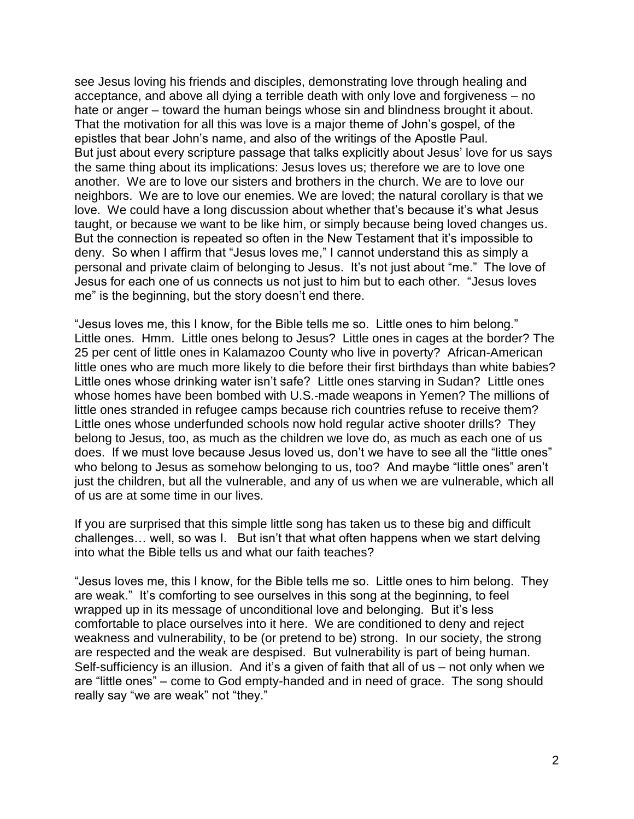see Jesus loving his friends and disciples, demonstrating love through healing and acceptance, and above all dying a terrible death with only love and forgiveness – no hate or anger – toward the human beings whose sin and blindness brought it about. That the motivation for all this was love is a major theme of John's gospel, of the epistles that bear John's name, and also of the writings of the Apostle Paul. But just about every scripture passage that talks explicitly about Jesus' love for us says the same thing about its implications: Jesus loves us; therefore we are to love one another. We are to love our sisters and brothers in the church. We are to love our neighbors. We are to love our enemies. We are loved; the natural corollary is that we love. We could have a long discussion about whether that's because it's what Jesus taught, or because we want to be like him, or simply because being loved changes us. But the connection is repeated so often in the New Testament that it's impossible to deny. So when I affirm that "Jesus loves me," I cannot understand this as simply a personal and private claim of belonging to Jesus. It's not just about "me." The love of Jesus for each one of us connects us not just to him but to each other. "Jesus loves me" is the beginning, but the story doesn't end there.

"Jesus loves me, this I know, for the Bible tells me so. Little ones to him belong." Little ones. Hmm. Little ones belong to Jesus? Little ones in cages at the border? The 25 per cent of little ones in Kalamazoo County who live in poverty? African-American little ones who are much more likely to die before their first birthdays than white babies? Little ones whose drinking water isn't safe? Little ones starving in Sudan? Little ones whose homes have been bombed with U.S.-made weapons in Yemen? The millions of little ones stranded in refugee camps because rich countries refuse to receive them? Little ones whose underfunded schools now hold regular active shooter drills? They belong to Jesus, too, as much as the children we love do, as much as each one of us does. If we must love because Jesus loved us, don't we have to see all the "little ones" who belong to Jesus as somehow belonging to us, too? And maybe "little ones" aren't just the children, but all the vulnerable, and any of us when we are vulnerable, which all of us are at some time in our lives.

If you are surprised that this simple little song has taken us to these big and difficult challenges… well, so was I. But isn't that what often happens when we start delving into what the Bible tells us and what our faith teaches?

"Jesus loves me, this I know, for the Bible tells me so. Little ones to him belong. They are weak." It's comforting to see ourselves in this song at the beginning, to feel wrapped up in its message of unconditional love and belonging. But it's less comfortable to place ourselves into it here. We are conditioned to deny and reject weakness and vulnerability, to be (or pretend to be) strong. In our society, the strong are respected and the weak are despised. But vulnerability is part of being human. Self-sufficiency is an illusion. And it's a given of faith that all of us – not only when we are "little ones" – come to God empty-handed and in need of grace. The song should really say "we are weak" not "they."